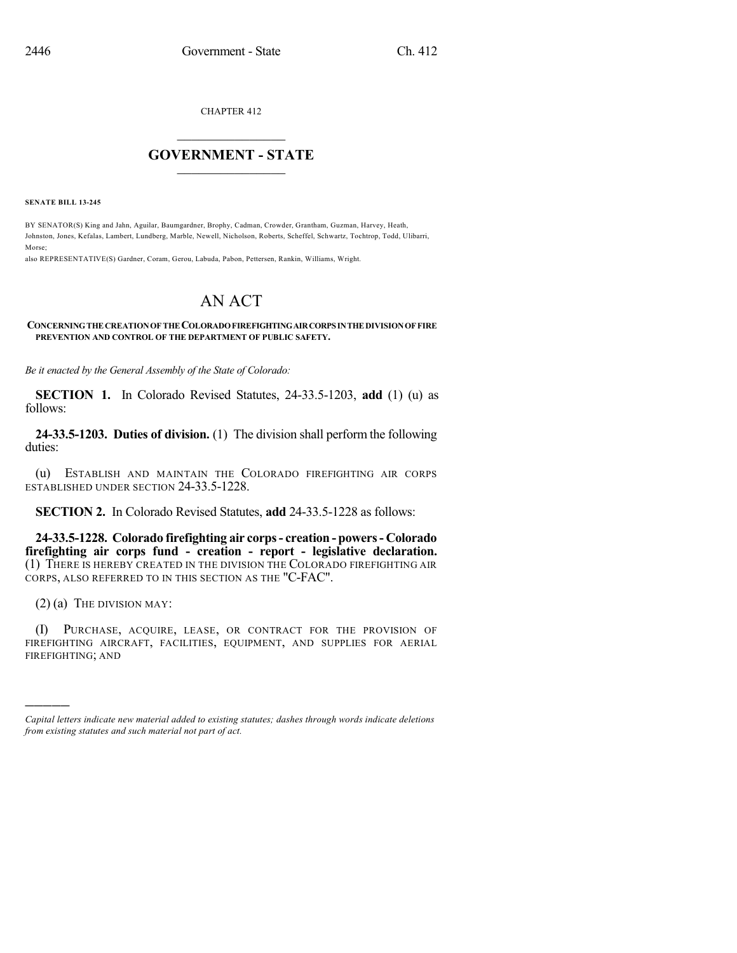CHAPTER 412

## $\mathcal{L}_\text{max}$  . The set of the set of the set of the set of the set of the set of the set of the set of the set of the set of the set of the set of the set of the set of the set of the set of the set of the set of the set **GOVERNMENT - STATE**  $\_$   $\_$

**SENATE BILL 13-245**

BY SENATOR(S) King and Jahn, Aguilar, Baumgardner, Brophy, Cadman, Crowder, Grantham, Guzman, Harvey, Heath, Johnston, Jones, Kefalas, Lambert, Lundberg, Marble, Newell, Nicholson, Roberts, Scheffel, Schwartz, Tochtrop, Todd, Ulibarri, Morse;

also REPRESENTATIVE(S) Gardner, Coram, Gerou, Labuda, Pabon, Pettersen, Rankin, Williams, Wright.

## AN ACT

## **CONCERNINGTHE CREATIONOF THE COLORADOFIREFIGHTINGAIRCORPSINTHE DIVISIONOF FIRE PREVENTION AND CONTROL OF THE DEPARTMENT OF PUBLIC SAFETY.**

*Be it enacted by the General Assembly of the State of Colorado:*

**SECTION 1.** In Colorado Revised Statutes, 24-33.5-1203, **add** (1) (u) as follows:

**24-33.5-1203. Duties of division.** (1) The division shall perform the following duties:

(u) ESTABLISH AND MAINTAIN THE COLORADO FIREFIGHTING AIR CORPS ESTABLISHED UNDER SECTION 24-33.5-1228.

**SECTION 2.** In Colorado Revised Statutes, **add** 24-33.5-1228 as follows:

**24-33.5-1228. Colorado firefighting air corps- creation - powers- Colorado firefighting air corps fund - creation - report - legislative declaration.** (1) THERE IS HEREBY CREATED IN THE DIVISION THE COLORADO FIREFIGHTING AIR CORPS, ALSO REFERRED TO IN THIS SECTION AS THE "C-FAC".

 $(2)$  (a) The DIVISION MAY:

)))))

(I) PURCHASE, ACQUIRE, LEASE, OR CONTRACT FOR THE PROVISION OF FIREFIGHTING AIRCRAFT, FACILITIES, EQUIPMENT, AND SUPPLIES FOR AERIAL FIREFIGHTING; AND

*Capital letters indicate new material added to existing statutes; dashes through words indicate deletions from existing statutes and such material not part of act.*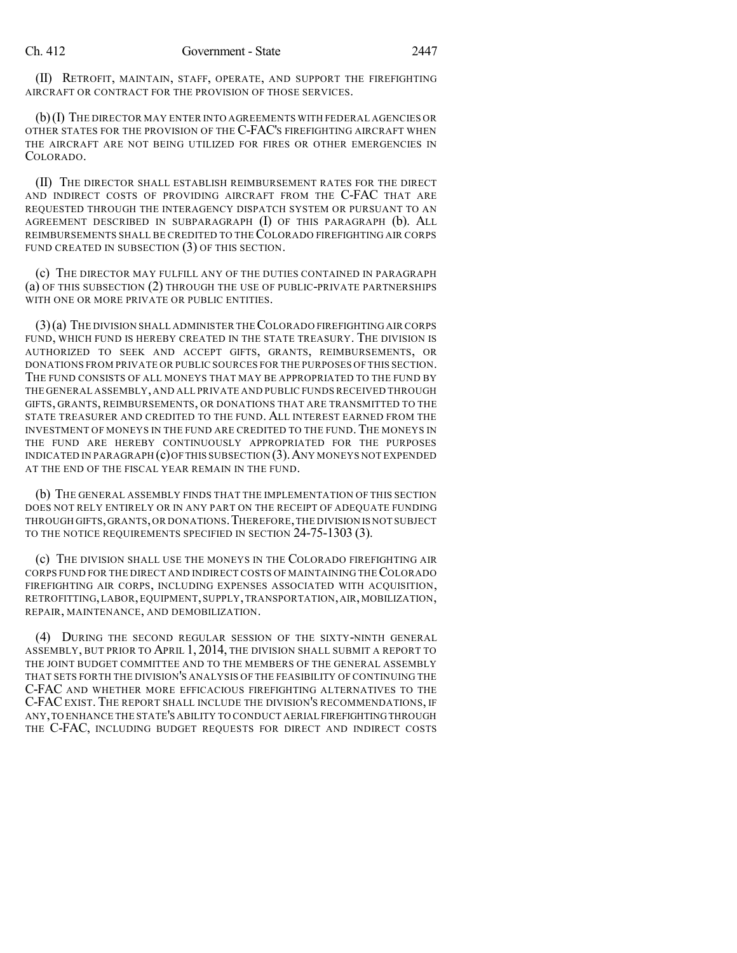(II) RETROFIT, MAINTAIN, STAFF, OPERATE, AND SUPPORT THE FIREFIGHTING AIRCRAFT OR CONTRACT FOR THE PROVISION OF THOSE SERVICES.

(b)(I) THE DIRECTOR MAY ENTER INTO AGREEMENTS WITH FEDERAL AGENCIES OR OTHER STATES FOR THE PROVISION OF THE C-FAC'S FIREFIGHTING AIRCRAFT WHEN THE AIRCRAFT ARE NOT BEING UTILIZED FOR FIRES OR OTHER EMERGENCIES IN COLORADO.

(II) THE DIRECTOR SHALL ESTABLISH REIMBURSEMENT RATES FOR THE DIRECT AND INDIRECT COSTS OF PROVIDING AIRCRAFT FROM THE C-FAC THAT ARE REQUESTED THROUGH THE INTERAGENCY DISPATCH SYSTEM OR PURSUANT TO AN AGREEMENT DESCRIBED IN SUBPARAGRAPH (I) OF THIS PARAGRAPH (b). ALL REIMBURSEMENTS SHALL BE CREDITED TO THE COLORADO FIREFIGHTING AIR CORPS FUND CREATED IN SUBSECTION (3) OF THIS SECTION.

(c) THE DIRECTOR MAY FULFILL ANY OF THE DUTIES CONTAINED IN PARAGRAPH (a) OF THIS SUBSECTION (2) THROUGH THE USE OF PUBLIC-PRIVATE PARTNERSHIPS WITH ONE OR MORE PRIVATE OR PUBLIC ENTITIES.

(3)(a) THE DIVISION SHALL ADMINISTER THECOLORADO FIREFIGHTING AIR CORPS FUND, WHICH FUND IS HEREBY CREATED IN THE STATE TREASURY. THE DIVISION IS AUTHORIZED TO SEEK AND ACCEPT GIFTS, GRANTS, REIMBURSEMENTS, OR DONATIONS FROM PRIVATE OR PUBLIC SOURCES FOR THE PURPOSES OF THIS SECTION. THE FUND CONSISTS OF ALL MONEYS THAT MAY BE APPROPRIATED TO THE FUND BY THE GENERAL ASSEMBLY,AND ALL PRIVATE AND PUBLIC FUNDS RECEIVED THROUGH GIFTS, GRANTS, REIMBURSEMENTS, OR DONATIONS THAT ARE TRANSMITTED TO THE STATE TREASURER AND CREDITED TO THE FUND. ALL INTEREST EARNED FROM THE INVESTMENT OF MONEYS IN THE FUND ARE CREDITED TO THE FUND. THE MONEYS IN THE FUND ARE HEREBY CONTINUOUSLY APPROPRIATED FOR THE PURPOSES INDICATED IN PARAGRAPH  $(c)$  OF THIS SUBSECTION  $(3)$ . ANY MONEYS NOT EXPENDED AT THE END OF THE FISCAL YEAR REMAIN IN THE FUND.

(b) THE GENERAL ASSEMBLY FINDS THAT THE IMPLEMENTATION OF THIS SECTION DOES NOT RELY ENTIRELY OR IN ANY PART ON THE RECEIPT OF ADEQUATE FUNDING THROUGH GIFTS,GRANTS,OR DONATIONS.THEREFORE,THE DIVISION IS NOT SUBJECT TO THE NOTICE REQUIREMENTS SPECIFIED IN SECTION 24-75-1303 (3).

(c) THE DIVISION SHALL USE THE MONEYS IN THE COLORADO FIREFIGHTING AIR CORPS FUND FOR THE DIRECT AND INDIRECT COSTS OF MAINTAINING THECOLORADO FIREFIGHTING AIR CORPS, INCLUDING EXPENSES ASSOCIATED WITH ACQUISITION, RETROFITTING, LABOR, EQUIPMENT, SUPPLY, TRANSPORTATION, AIR, MOBILIZATION, REPAIR, MAINTENANCE, AND DEMOBILIZATION.

(4) DURING THE SECOND REGULAR SESSION OF THE SIXTY-NINTH GENERAL ASSEMBLY, BUT PRIOR TO APRIL 1, 2014, THE DIVISION SHALL SUBMIT A REPORT TO THE JOINT BUDGET COMMITTEE AND TO THE MEMBERS OF THE GENERAL ASSEMBLY THAT SETS FORTH THE DIVISION'S ANALYSIS OF THE FEASIBILITY OF CONTINUING THE C-FAC AND WHETHER MORE EFFICACIOUS FIREFIGHTING ALTERNATIVES TO THE C-FACEXIST. THE REPORT SHALL INCLUDE THE DIVISION'S RECOMMENDATIONS, IF ANY,TO ENHANCE THE STATE'S ABILITY TO CONDUCT AERIAL FIREFIGHTINGTHROUGH THE C-FAC, INCLUDING BUDGET REQUESTS FOR DIRECT AND INDIRECT COSTS